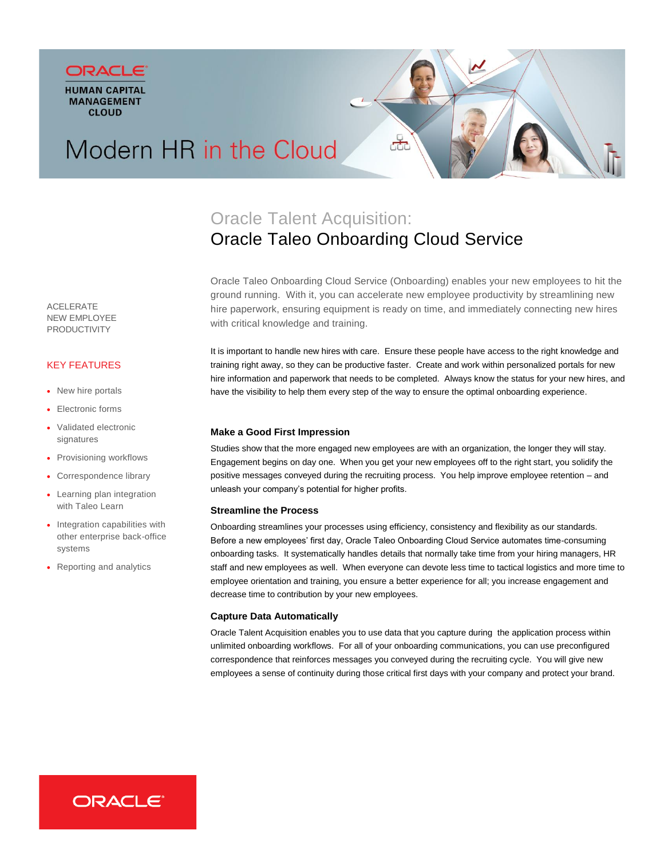



# Modern HR in the Cloud

# Oracle Talent Acquisition: Oracle Taleo Onboarding Cloud Service

Oracle Taleo Onboarding Cloud Service (Onboarding) enables your new employees to hit the ground running. With it, you can accelerate new employee productivity by streamlining new hire paperwork, ensuring equipment is ready on time, and immediately connecting new hires with critical knowledge and training.

It is important to handle new hires with care. Ensure these people have access to the right knowledge and training right away, so they can be productive faster. Create and work within personalized portals for new hire information and paperwork that needs to be completed. Always know the status for your new hires, and have the visibility to help them every step of the way to ensure the optimal onboarding experience.

# **Make a Good First Impression**

Studies show that the more engaged new employees are with an organization, the longer they will stay. Engagement begins on day one. When you get your new employees off to the right start, you solidify the positive messages conveyed during the recruiting process. You help improve employee retention – and unleash your company's potential for higher profits.

### **Streamline the Process**

Onboarding streamlines your processes using efficiency, consistency and flexibility as our standards. Before a new employees' first day, Oracle Taleo Onboarding Cloud Service automates time-consuming onboarding tasks. It systematically handles details that normally take time from your hiring managers, HR staff and new employees as well. When everyone can devote less time to tactical logistics and more time to employee orientation and training, you ensure a better experience for all; you increase engagement and decrease time to contribution by your new employees.

### **Capture Data Automatically**

Oracle Talent Acquisition enables you to use data that you capture during the application process within unlimited onboarding workflows. For all of your onboarding communications, you can use preconfigured correspondence that reinforces messages you conveyed during the recruiting cycle. You will give new employees a sense of continuity during those critical first days with your company and protect your brand.

ACELERATE NEW EMPLOYEE PRODUCTIVITY

# KEY FEATURES

- New hire portals
- Electronic forms
- Validated electronic signatures
- Provisioning workflows
- Correspondence library
- Learning plan integration with Taleo Learn
- Integration capabilities with other enterprise back-office systems
- Reporting and analytics